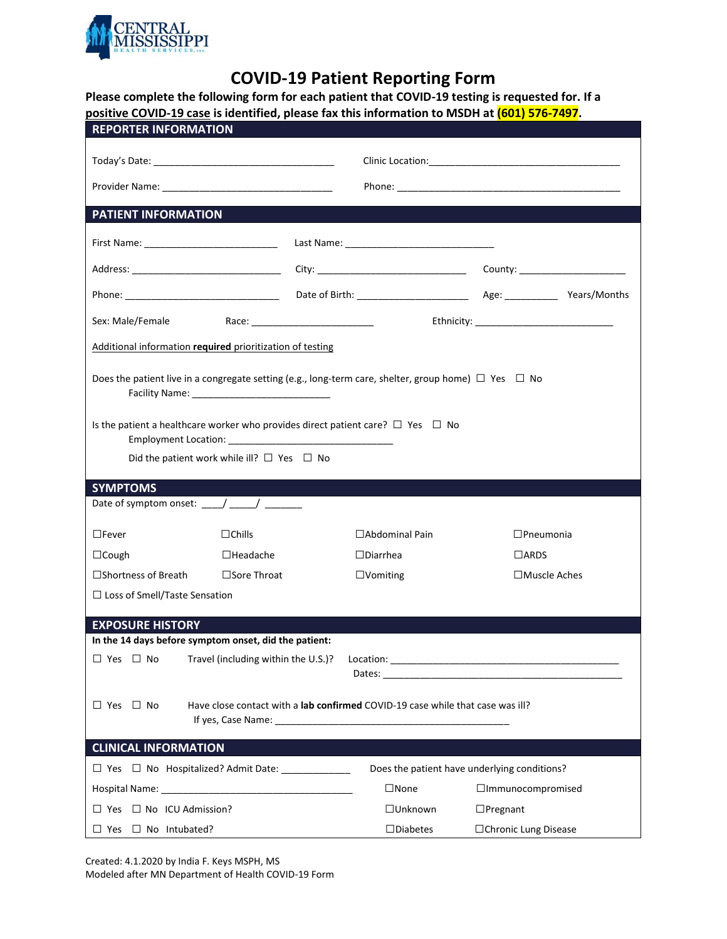

## **COVID-19 Patient Reporting Form**

**Please complete the following form for each patient that COVID-19 testing is requested for. If a positive COVID-19 case is identified, please fax this information to MSDH at (601) 576-7497.**

| <b>REPORTER INFORMATION</b>                                                                                                                                                                                                                                               |  |                                              |                          |  |  |  |  |  |  |
|---------------------------------------------------------------------------------------------------------------------------------------------------------------------------------------------------------------------------------------------------------------------------|--|----------------------------------------------|--------------------------|--|--|--|--|--|--|
|                                                                                                                                                                                                                                                                           |  |                                              |                          |  |  |  |  |  |  |
|                                                                                                                                                                                                                                                                           |  |                                              |                          |  |  |  |  |  |  |
| <b>PATIENT INFORMATION</b>                                                                                                                                                                                                                                                |  |                                              |                          |  |  |  |  |  |  |
|                                                                                                                                                                                                                                                                           |  |                                              |                          |  |  |  |  |  |  |
| Address: __________________________________                                                                                                                                                                                                                               |  |                                              |                          |  |  |  |  |  |  |
|                                                                                                                                                                                                                                                                           |  |                                              |                          |  |  |  |  |  |  |
| Sex: Male/Female                                                                                                                                                                                                                                                          |  |                                              |                          |  |  |  |  |  |  |
| Additional information required prioritization of testing                                                                                                                                                                                                                 |  |                                              |                          |  |  |  |  |  |  |
| Does the patient live in a congregate setting (e.g., long-term care, shelter, group home) $\Box$ Yes $\Box$ No<br>Is the patient a healthcare worker who provides direct patient care? $\square$ Yes $\square$ No<br>Did the patient work while ill? $\Box$ Yes $\Box$ No |  |                                              |                          |  |  |  |  |  |  |
| <b>SYMPTOMS</b>                                                                                                                                                                                                                                                           |  |                                              |                          |  |  |  |  |  |  |
| Date of symptom onset: $\frac{1}{2}$ $\frac{1}{2}$ $\frac{1}{2}$ $\frac{1}{2}$ $\frac{1}{2}$ $\frac{1}{2}$                                                                                                                                                                |  |                                              |                          |  |  |  |  |  |  |
| $\Box$ Fever<br>$\Box$ Chills                                                                                                                                                                                                                                             |  | □ Abdominal Pain                             | $\Box$ Pneumonia         |  |  |  |  |  |  |
| $\Box$ Cough<br>$\Box$ Headache                                                                                                                                                                                                                                           |  | $\Box$ Diarrhea                              | $\Box$ ARDS              |  |  |  |  |  |  |
| $\square$ Shortness of Breath $\square$ Sore Throat                                                                                                                                                                                                                       |  | $\Box$ Vomiting                              | $\square$ Muscle Aches   |  |  |  |  |  |  |
| $\Box$ Loss of Smell/Taste Sensation                                                                                                                                                                                                                                      |  |                                              |                          |  |  |  |  |  |  |
| <b>EXPOSURE HISTORY</b>                                                                                                                                                                                                                                                   |  |                                              |                          |  |  |  |  |  |  |
| In the 14 days before symptom onset, did the patient:                                                                                                                                                                                                                     |  |                                              |                          |  |  |  |  |  |  |
|                                                                                                                                                                                                                                                                           |  |                                              |                          |  |  |  |  |  |  |
|                                                                                                                                                                                                                                                                           |  |                                              |                          |  |  |  |  |  |  |
| $\Box$ Yes $\Box$ No<br>Have close contact with a <b>lab confirmed</b> COVID-19 case while that case was ill?                                                                                                                                                             |  |                                              |                          |  |  |  |  |  |  |
| <b>CLINICAL INFORMATION</b>                                                                                                                                                                                                                                               |  |                                              |                          |  |  |  |  |  |  |
| □ Yes □ No Hospitalized? Admit Date: ____________                                                                                                                                                                                                                         |  | Does the patient have underlying conditions? |                          |  |  |  |  |  |  |
|                                                                                                                                                                                                                                                                           |  | $\square$ None                               | $\Box$ Immunocompromised |  |  |  |  |  |  |
| $\Box$ Yes $\Box$ No ICU Admission?                                                                                                                                                                                                                                       |  | $\Box$ Unknown                               | $\Box$ Pregnant          |  |  |  |  |  |  |
| $\Box$ Yes $\Box$ No Intubated?                                                                                                                                                                                                                                           |  | $\square$ Diabetes                           | □ Chronic Lung Disease   |  |  |  |  |  |  |

Created: 4.1.2020 by India F. Keys MSPH, MS Modeled after MN Department of Health COVID-19 Form